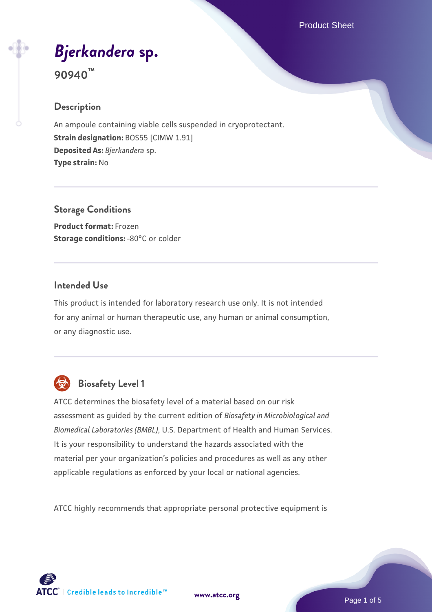Product Sheet

# *[Bjerkandera](https://www.atcc.org/products/90940)* **[sp.](https://www.atcc.org/products/90940) 90940™**

#### **Description**

An ampoule containing viable cells suspended in cryoprotectant. **Strain designation:** BOS55 [CIMW 1.91] **Deposited As:** *Bjerkandera* sp. **Type strain:** No

**Storage Conditions Product format:** Frozen **Storage conditions: -80°C or colder** 

#### **Intended Use**

This product is intended for laboratory research use only. It is not intended for any animal or human therapeutic use, any human or animal consumption, or any diagnostic use.



## **Biosafety Level 1**

ATCC determines the biosafety level of a material based on our risk assessment as guided by the current edition of *Biosafety in Microbiological and Biomedical Laboratories (BMBL)*, U.S. Department of Health and Human Services. It is your responsibility to understand the hazards associated with the material per your organization's policies and procedures as well as any other applicable regulations as enforced by your local or national agencies.

ATCC highly recommends that appropriate personal protective equipment is

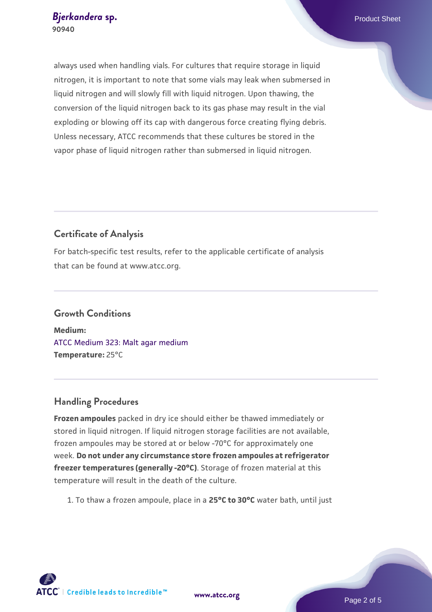always used when handling vials. For cultures that require storage in liquid nitrogen, it is important to note that some vials may leak when submersed in liquid nitrogen and will slowly fill with liquid nitrogen. Upon thawing, the conversion of the liquid nitrogen back to its gas phase may result in the vial exploding or blowing off its cap with dangerous force creating flying debris. Unless necessary, ATCC recommends that these cultures be stored in the vapor phase of liquid nitrogen rather than submersed in liquid nitrogen.

#### **Certificate of Analysis**

For batch-specific test results, refer to the applicable certificate of analysis that can be found at www.atcc.org.

## **Growth Conditions Medium:**  [ATCC Medium 323: Malt agar medium](https://www.atcc.org/-/media/product-assets/documents/microbial-media-formulations/3/2/3/atcc-medium-323.pdf?rev=58d6457ee20149d7a1c844947569ef92)

**Temperature:** 25°C

### **Handling Procedures**

**Frozen ampoules** packed in dry ice should either be thawed immediately or stored in liquid nitrogen. If liquid nitrogen storage facilities are not available, frozen ampoules may be stored at or below -70°C for approximately one week. **Do not under any circumstance store frozen ampoules at refrigerator freezer temperatures (generally -20°C)**. Storage of frozen material at this temperature will result in the death of the culture.

1. To thaw a frozen ampoule, place in a **25°C to 30°C** water bath, until just

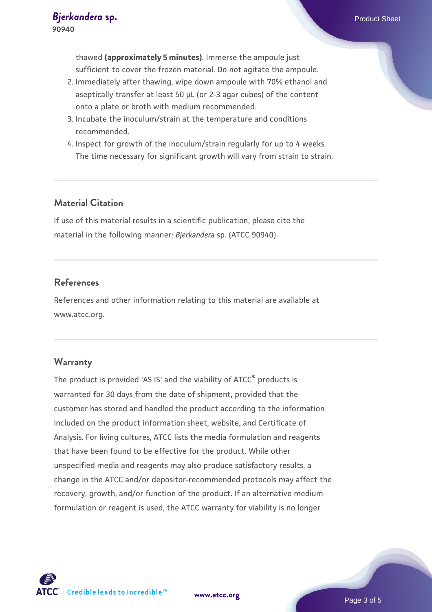thawed **(approximately 5 minutes)**. Immerse the ampoule just sufficient to cover the frozen material. Do not agitate the ampoule.

- 2. Immediately after thawing, wipe down ampoule with 70% ethanol and aseptically transfer at least 50 µL (or 2-3 agar cubes) of the content onto a plate or broth with medium recommended.
- 3. Incubate the inoculum/strain at the temperature and conditions recommended.
- 4. Inspect for growth of the inoculum/strain regularly for up to 4 weeks. The time necessary for significant growth will vary from strain to strain.

#### **Material Citation**

If use of this material results in a scientific publication, please cite the material in the following manner: *Bjerkandera* sp. (ATCC 90940)

#### **References**

References and other information relating to this material are available at www.atcc.org.

#### **Warranty**

The product is provided 'AS IS' and the viability of ATCC® products is warranted for 30 days from the date of shipment, provided that the customer has stored and handled the product according to the information included on the product information sheet, website, and Certificate of Analysis. For living cultures, ATCC lists the media formulation and reagents that have been found to be effective for the product. While other unspecified media and reagents may also produce satisfactory results, a change in the ATCC and/or depositor-recommended protocols may affect the recovery, growth, and/or function of the product. If an alternative medium formulation or reagent is used, the ATCC warranty for viability is no longer

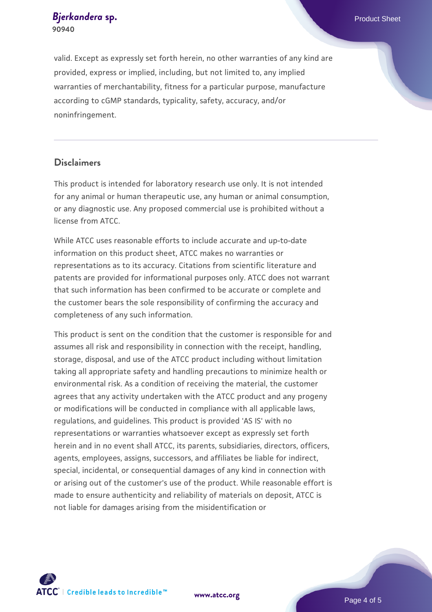**[Bjerkandera](https://www.atcc.org/products/90940) [sp.](https://www.atcc.org/products/90940)** Product Sheet **90940**

valid. Except as expressly set forth herein, no other warranties of any kind are provided, express or implied, including, but not limited to, any implied warranties of merchantability, fitness for a particular purpose, manufacture according to cGMP standards, typicality, safety, accuracy, and/or noninfringement.

#### **Disclaimers**

This product is intended for laboratory research use only. It is not intended for any animal or human therapeutic use, any human or animal consumption, or any diagnostic use. Any proposed commercial use is prohibited without a license from ATCC.

While ATCC uses reasonable efforts to include accurate and up-to-date information on this product sheet, ATCC makes no warranties or representations as to its accuracy. Citations from scientific literature and patents are provided for informational purposes only. ATCC does not warrant that such information has been confirmed to be accurate or complete and the customer bears the sole responsibility of confirming the accuracy and completeness of any such information.

This product is sent on the condition that the customer is responsible for and assumes all risk and responsibility in connection with the receipt, handling, storage, disposal, and use of the ATCC product including without limitation taking all appropriate safety and handling precautions to minimize health or environmental risk. As a condition of receiving the material, the customer agrees that any activity undertaken with the ATCC product and any progeny or modifications will be conducted in compliance with all applicable laws, regulations, and guidelines. This product is provided 'AS IS' with no representations or warranties whatsoever except as expressly set forth herein and in no event shall ATCC, its parents, subsidiaries, directors, officers, agents, employees, assigns, successors, and affiliates be liable for indirect, special, incidental, or consequential damages of any kind in connection with or arising out of the customer's use of the product. While reasonable effort is made to ensure authenticity and reliability of materials on deposit, ATCC is not liable for damages arising from the misidentification or



**[www.atcc.org](http://www.atcc.org)**

Page 4 of 5